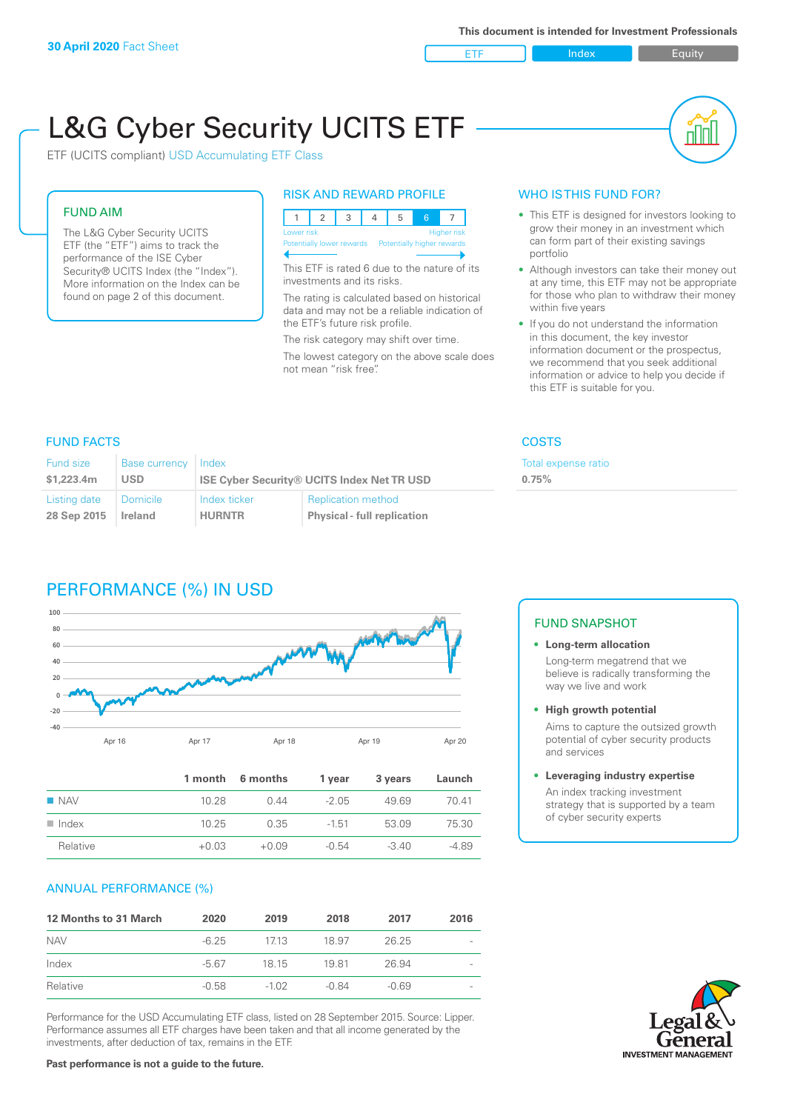ETF Index Buity

nl M

# L&G Cyber Security UCITS ETF

ETF (UCITS compliant) USD Accumulating ETF Class

# FUND AIM

The L&G Cyber Security UCITS ETF (the "ETF") aims to track the performance of the ISE Cyber Security® UCITS Index (the "Index"). More information on the Index can be found on page 2 of this document.

# RISK AND REWARD PROFILE

| Lower risk<br>Higher risk |  |  |  |                                                      |  |  |  |  |
|---------------------------|--|--|--|------------------------------------------------------|--|--|--|--|
|                           |  |  |  | Potentially lower rewards Potentially higher rewards |  |  |  |  |
|                           |  |  |  |                                                      |  |  |  |  |

This ETF is rated 6 due to the nature of its investments and its risks.

The rating is calculated based on historical data and may not be a reliable indication of the ETF's future risk profile.

The risk category may shift over time. The lowest category on the above scale does not mean "risk free".

# WHO IS THIS FUND FOR?

- This ETF is designed for investors looking to grow their money in an investment which can form part of their existing savings portfolio
- Although investors can take their money out at any time, this ETF may not be appropriate for those who plan to withdraw their money within five years
- If you do not understand the information in this document, the key investor information document or the prospectus, we recommend that you seek additional information or advice to help you decide if this ETF is suitable for you.

**0.75%**

Total expense ratio

# FUND FACTS COSTS

| Fund size<br>\$1,223.4m | <b>Base currency</b><br>USD | Index         | <b>ISE Cyber Security® UCITS Index Net TR USD</b> |
|-------------------------|-----------------------------|---------------|---------------------------------------------------|
| Listing date            | Domicile                    | Index ticker  | <b>Replication method</b>                         |
| 28 Sep 2015             | Ireland                     | <b>HURNTR</b> | <b>Physical - full replication</b>                |

# PERFORMANCE (%) IN USD



|                      |         | 1 month 6 months | 1 year  | 3 years | Launch  |
|----------------------|---------|------------------|---------|---------|---------|
| $\blacksquare$ NAV   | 10.28   | O 44             | $-2.05$ | 49.69   | 7041    |
| $\blacksquare$ Index | 10.25   | 0.35             | $-1.51$ | 53.09   | 75.30   |
| Relative             | $+0.03$ | $+0.09$          | $-0.54$ | $-340$  | $-4.89$ |

# ANNUAL PERFORMANCE (%)

| <b>12 Months to 31 March</b> | 2020    | 2019    | 2018  | 2017    | 2016 |
|------------------------------|---------|---------|-------|---------|------|
| <b>NAV</b>                   | $-6.25$ | 1713    | 18.97 | 26.25   |      |
| Index                        | -5.67   | 18 15   | 1981  | 26.94   |      |
| Relative                     | $-0.58$ | $-1.02$ | -0.84 | $-0.69$ |      |

Performance for the USD Accumulating ETF class, listed on 28 September 2015. Source: Lipper. Performance assumes all ETF charges have been taken and that all income generated by the investments, after deduction of tax, remains in the ETF.

#### FUND SNAPSHOT

#### **• Long-term allocation** Long-term megatrend that we believe is radically transforming the way we live and work

**• High growth potential**

Aims to capture the outsized growth potential of cyber security products and services

#### **• Leveraging industry expertise**

An index tracking investment strategy that is supported by a team of cyber security experts

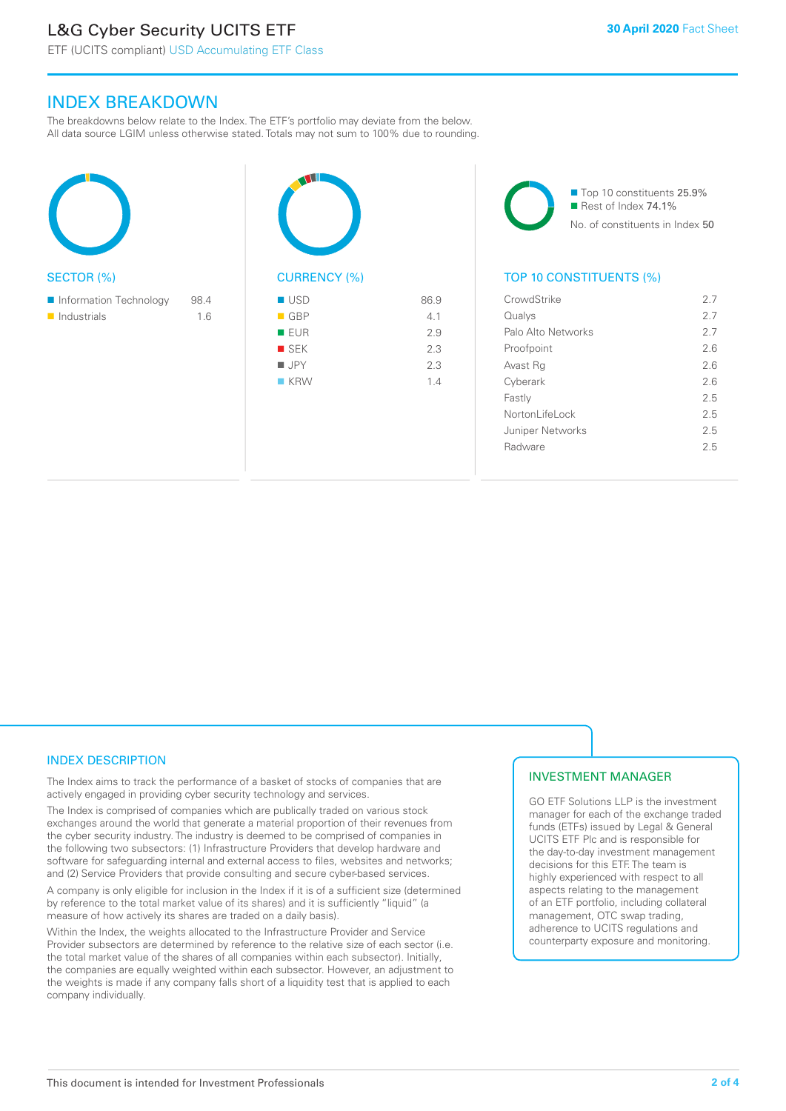# L&G Cyber Security UCITS ETF

# INDEX BREAKDOWN

The breakdowns below relate to the Index. The ETF's portfolio may deviate from the below. All data source LGIM unless otherwise stated. Totals may not sum to 100% due to rounding.

| <b>SECTOR (%)</b>                                    |             | <b>CURF</b>                                                                               |
|------------------------------------------------------|-------------|-------------------------------------------------------------------------------------------|
| Information Technology<br>$\blacksquare$ Industrials | 98.4<br>1.6 | <b>USD</b><br>$\blacksquare$ GBF<br>EUF<br><b>The State</b><br>■ SEK<br><b>JPY</b><br>KRV |



86.9

■ Top 10 constituents 25.9% Rest of Index 74.1% No. of constituents in Index 50

# TOP 10 CONSTITUENTS (%)

| CrowdStrike             | 27  |
|-------------------------|-----|
| Qualys                  | 2.7 |
| Palo Alto Networks      | 27  |
| Proofpoint              | 2.6 |
| Avast Rg                | 26  |
| Cyberark                | 26  |
| Fastly                  | 25  |
| Nortonl ifel ock        | 25  |
| <b>Juniper Networks</b> | 2.5 |
| Radware                 | 25  |
|                         |     |

# INDEX DESCRIPTION

The Index aims to track the performance of a basket of stocks of companies that are actively engaged in providing cyber security technology and services.

The Index is comprised of companies which are publically traded on various stock exchanges around the world that generate a material proportion of their revenues from the cyber security industry. The industry is deemed to be comprised of companies in the following two subsectors: (1) Infrastructure Providers that develop hardware and software for safeguarding internal and external access to files, websites and networks; and (2) Service Providers that provide consulting and secure cyber-based services.

A company is only eligible for inclusion in the Index if it is of a sufficient size (determined by reference to the total market value of its shares) and it is sufficiently "liquid" (a measure of how actively its shares are traded on a daily basis).

Within the Index, the weights allocated to the Infrastructure Provider and Service Provider subsectors are determined by reference to the relative size of each sector (i.e. the total market value of the shares of all companies within each subsector). Initially, the companies are equally weighted within each subsector. However, an adjustment to the weights is made if any company falls short of a liquidity test that is applied to each company individually.

## INVESTMENT MANAGER

GO ETF Solutions LLP is the investment manager for each of the exchange traded funds (ETFs) issued by Legal & General UCITS ETF Plc and is responsible for the day-to-day investment management decisions for this ETF. The team is highly experienced with respect to all aspects relating to the management of an ETF portfolio, including collateral management, OTC swap trading, adherence to UCITS regulations and counterparty exposure and monitoring.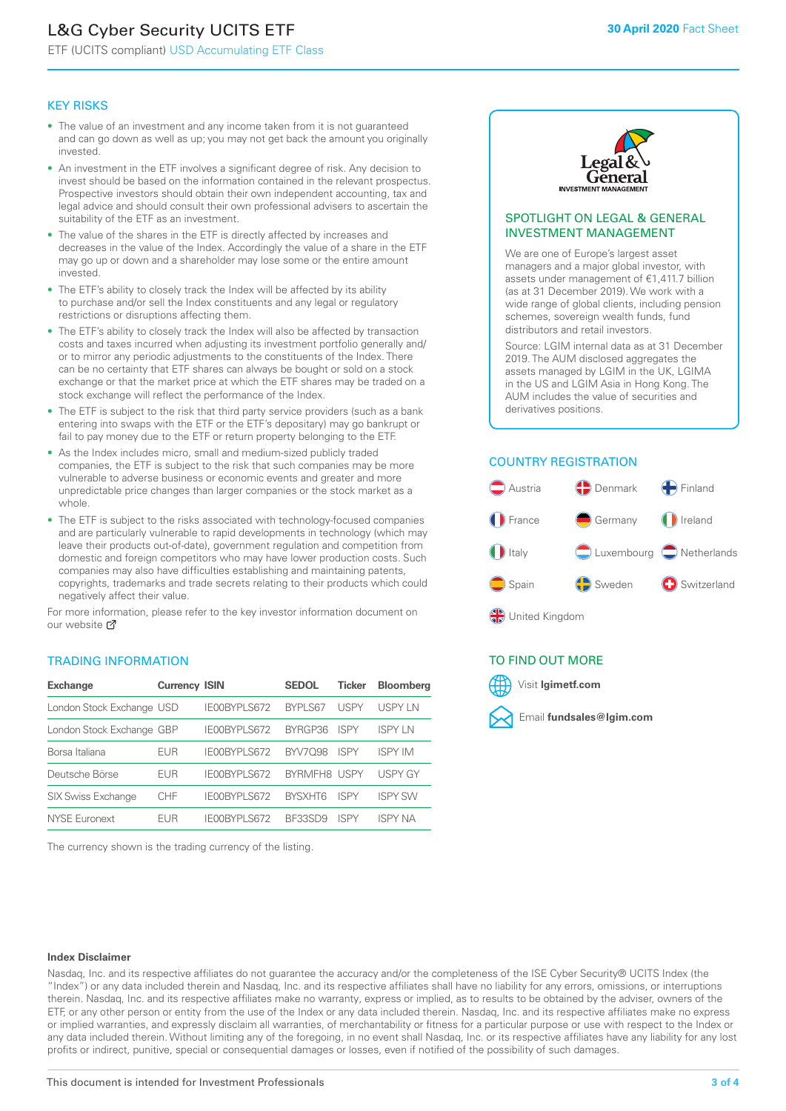# L&G Cyber Security UCITS ETF

ETF (UCITS compliant) USD Accumulating ETF Class

#### KEY RISKS

- The value of an investment and any income taken from it is not guaranteed and can go down as well as up; you may not get back the amount you originally invested.
- An investment in the ETF involves a significant degree of risk. Any decision to invest should be based on the information contained in the relevant prospectus. Prospective investors should obtain their own independent accounting, tax and legal advice and should consult their own professional advisers to ascertain the suitability of the ETF as an investment.
- The value of the shares in the ETF is directly affected by increases and decreases in the value of the Index. Accordingly the value of a share in the ETF may go up or down and a shareholder may lose some or the entire amount invested.
- The ETF's ability to closely track the Index will be affected by its ability to purchase and/or sell the Index constituents and any legal or regulatory restrictions or disruptions affecting them.
- The ETF's ability to closely track the Index will also be affected by transaction costs and taxes incurred when adjusting its investment portfolio generally and/ or to mirror any periodic adjustments to the constituents of the Index. There can be no certainty that ETF shares can always be bought or sold on a stock exchange or that the market price at which the ETF shares may be traded on a stock exchange will reflect the performance of the Index.
- The ETF is subject to the risk that third party service providers (such as a bank entering into swaps with the ETF or the ETF's depositary) may go bankrupt or fail to pay money due to the ETF or return property belonging to the ETF.
- As the Index includes micro, small and medium-sized publicly traded companies, the ETF is subject to the risk that such companies may be more vulnerable to adverse business or economic events and greater and more unpredictable price changes than larger companies or the stock market as a whole.
- The ETF is subject to the risks associated with technology-focused companies and are particularly vulnerable to rapid developments in technology (which may leave their products out-of-date), government regulation and competition from domestic and foreign competitors who may have lower production costs. Such companies may also have difficulties establishing and maintaining patents, copyrights, trademarks and trade secrets relating to their products which could negatively affect their value.

For more information, please refer to the key investor information document on our website Ø

#### TRADING INFORMATION

| <b>Exchange</b>           | <b>Currency ISIN</b> |              | <b>SEDOL</b>        | <b>Ticker</b> | <b>Bloomberg</b> |
|---------------------------|----------------------|--------------|---------------------|---------------|------------------|
| London Stock Exchange USD |                      | IE00BYPLS672 | <b>BYPLS67</b>      | USPY          | USPY IN          |
| London Stock Exchange GBP |                      | IE00BYPLS672 | BYRGP36             | <b>ISPY</b>   | <b>ISPY LN</b>   |
| Borsa Italiana            | EUR                  | IE00BYPLS672 | <b>BYV7098</b>      | <b>ISPY</b>   | <b>ISPY IM</b>   |
| Deutsche Börse            | EUR                  | IE00BYPLS672 | <b>BYRMEH8 USPY</b> |               | <b>USPY GY</b>   |
| <b>SIX Swiss Exchange</b> | CHF                  | IE00BYPLS672 | <b>RYSXHT6</b>      | <b>ISPY</b>   | <b>ISPY SW</b>   |
| <b>NYSE Euronext</b>      | <b>FUR</b>           | IE00BYPLS672 | <b>BE33SD9</b>      | ISPY          | ISPY NA          |

The currency shown is the trading currency of the listing.



#### SPOTLIGHT ON LEGAL & GENERAL INVESTMENT MANAGEMENT

We are one of Europe's largest asset managers and a major global investor, with assets under management of €1,411.7 billion (as at 31 December 2019). We work with a wide range of global clients, including pension schemes, sovereign wealth funds, fund distributors and retail investors.

Source: LGIM internal data as at 31 December 2019. The AUM disclosed aggregates the assets managed by LGIM in the UK, LGIMA in the US and LGIM Asia in Hong Kong. The AUM includes the value of securities and derivatives positions.

#### COUNTRY REGISTRATION



## TO FIND OUT MORE



#### **Index Disclaimer**

Nasdaq, Inc. and its respective affiliates do not guarantee the accuracy and/or the completeness of the ISE Cyber Security® UCITS Index (the "Index") or any data included therein and Nasdaq, Inc. and its respective affiliates shall have no liability for any errors, omissions, or interruptions therein. Nasdaq, Inc. and its respective affiliates make no warranty, express or implied, as to results to be obtained by the adviser, owners of the ETF, or any other person or entity from the use of the Index or any data included therein. Nasdaq, Inc. and its respective affiliates make no express or implied warranties, and expressly disclaim all warranties, of merchantability or fitness for a particular purpose or use with respect to the Index or any data included therein. Without limiting any of the foregoing, in no event shall Nasdaq, Inc. or its respective affiliates have any liability for any lost profits or indirect, punitive, special or consequential damages or losses, even if notified of the possibility of such damages.